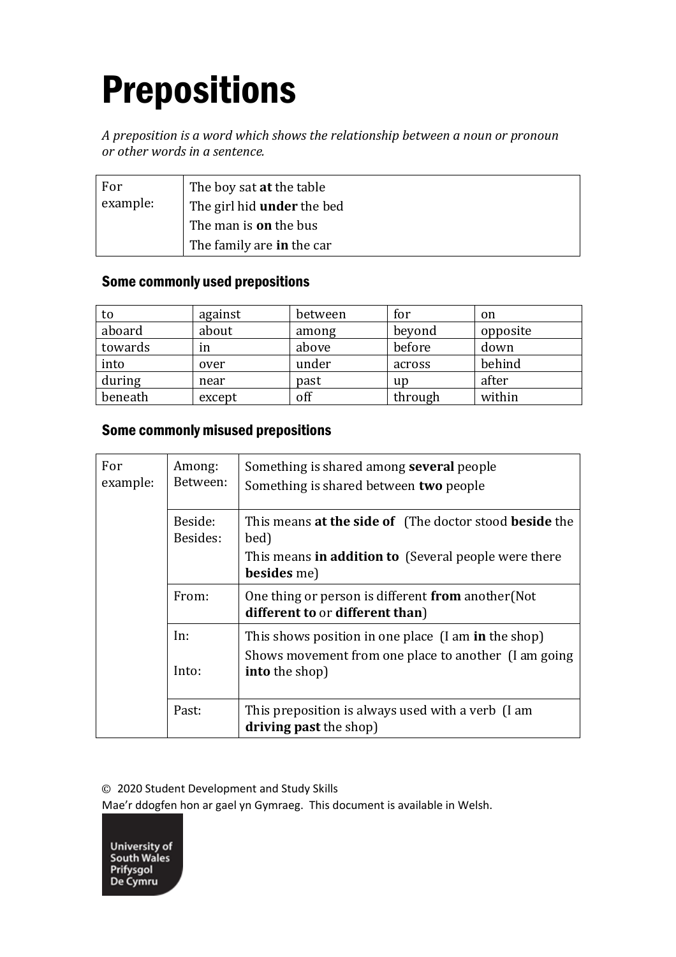# Prepositions

*A preposition is a word which shows the relationship between a noun or pronoun or other words in a sentence.*

| For      | The boy sat <b>at</b> the table   |
|----------|-----------------------------------|
| example: | The girl hid <b>under</b> the bed |
|          | The man is <b>on</b> the bus      |
|          | The family are <b>in</b> the car  |

### Some commonly used prepositions

| to      | against | between | for     | on       |
|---------|---------|---------|---------|----------|
| aboard  | about   | among   | beyond  | opposite |
| towards | ın      | above   | before  | down     |
| into    | over    | under   | across  | behind   |
| during  | near    | past    | up      | after    |
| beneath | except  | off     | through | within   |

## Some commonly misused prepositions

| For<br>example: | Among:<br>Between:  | Something is shared among <b>several</b> people<br>Something is shared between two people                                             |
|-----------------|---------------------|---------------------------------------------------------------------------------------------------------------------------------------|
|                 | Beside:<br>Besides: | This means at the side of (The doctor stood beside the<br>bed)<br>This means in addition to (Several people were there<br>besides me) |
|                 | From:               | One thing or person is different from another (Not<br>different to or different than)                                                 |
|                 | In:<br>Into:        | This shows position in one place (I am in the shop)<br>Shows movement from one place to another (I am going<br><b>into</b> the shop)  |
|                 | Past:               | This preposition is always used with a verb (I am<br>driving past the shop)                                                           |

© 2020 Student Development and Study Skills

Mae'r ddogfen hon ar gael yn Gymraeg. This document is available in Welsh.

**University of<br>South Wales** Prifysgol<br>De Cymru